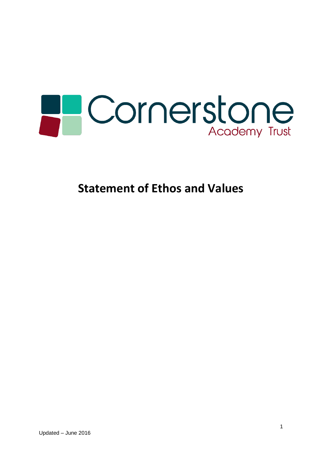

**Statement of Ethos and Values**